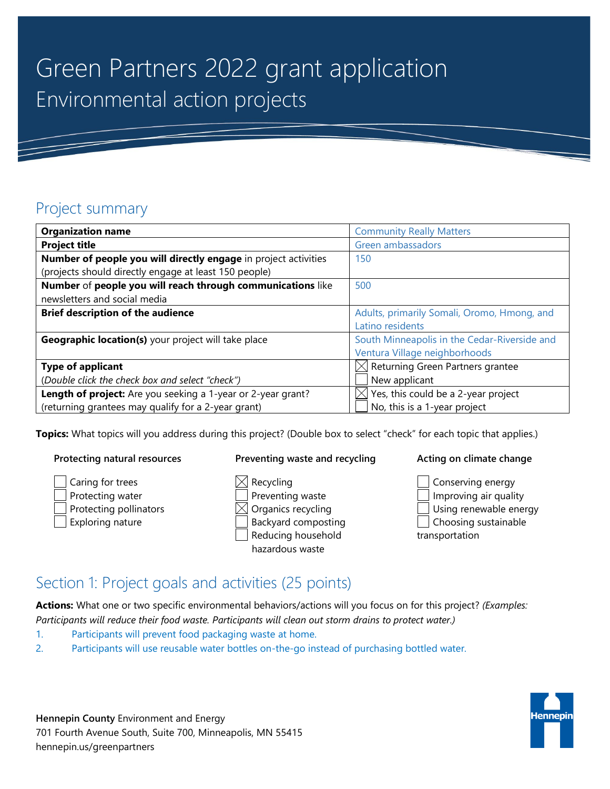# Green Partners 2022 grant application Environmental action projects

### Project summary

| <b>Organization name</b>                                        | <b>Community Really Matters</b>              |  |
|-----------------------------------------------------------------|----------------------------------------------|--|
| <b>Project title</b>                                            | Green ambassadors                            |  |
| Number of people you will directly engage in project activities | 150                                          |  |
| (projects should directly engage at least 150 people)           |                                              |  |
| Number of people you will reach through communications like     | 500                                          |  |
| newsletters and social media                                    |                                              |  |
| <b>Brief description of the audience</b>                        | Adults, primarily Somali, Oromo, Hmong, and  |  |
|                                                                 | Latino residents                             |  |
| Geographic location(s) your project will take place             | South Minneapolis in the Cedar-Riverside and |  |
|                                                                 | Ventura Village neighborhoods                |  |
| <b>Type of applicant</b>                                        | $\boxtimes$ Returning Green Partners grantee |  |
| (Double click the check box and select "check")                 | New applicant                                |  |
| Length of project: Are you seeking a 1-year or 2-year grant?    | $\times$ Yes, this could be a 2-year project |  |
| (returning grantees may qualify for a 2-year grant)             | No, this is a 1-year project                 |  |

**Topics:** What topics will you address during this project? (Double box to select "check" for each topic that applies.)

#### **Protecting natural resources**

Caring for trees Protecting water Protecting pollinators Exploring nature

#### **Preventing waste and recycling**

 $\boxtimes$  Recycling Preventing waste  $\boxtimes$  Organics recycling Backyard composting Reducing household

hazardous waste

#### **Acting on climate change**

Conserving energy Improving air quality Using renewable energy Choosing sustainable transportation

## Section 1: Project goals and activities (25 points)

**Actions:** What one or two specific environmental behaviors/actions will you focus on for this project? *(Examples: Participants will reduce their food waste. Participants will clean out storm drains to protect water.)*

- 1. Participants will prevent food packaging waste at home.
- 2. Participants will use reusable water bottles on-the-go instead of purchasing bottled water.

**Hennepin County** Environment and Energy 701 Fourth Avenue South, Suite 700, Minneapolis, MN 55415 hennepin.us/greenpartners

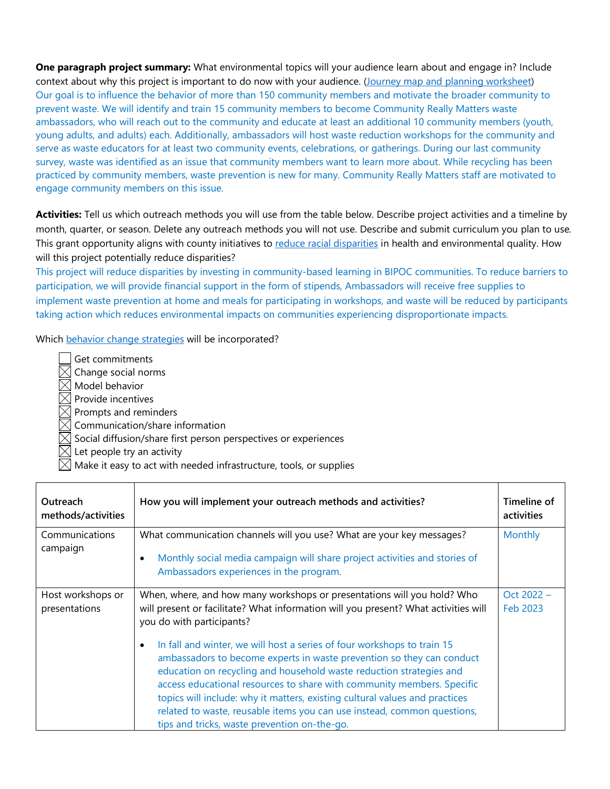**One paragraph project summary:** What environmental topics will your audience learn about and engage in? Include context about why this project is important to do now with your audience. [\(Journey map and planning worksheet\)](https://www.hennepin.us/-/media/hennepinus/business/work-with-hennepin-county/green-partners/journey-mapping-plan-worksheet) Our goal is to influence the behavior of more than 150 community members and motivate the broader community to prevent waste. We will identify and train 15 community members to become Community Really Matters waste ambassadors, who will reach out to the community and educate at least an additional 10 community members (youth, young adults, and adults) each. Additionally, ambassadors will host waste reduction workshops for the community and serve as waste educators for at least two community events, celebrations, or gatherings. During our last community survey, waste was identified as an issue that community members want to learn more about. While recycling has been practiced by community members, waste prevention is new for many. Community Really Matters staff are motivated to engage community members on this issue.

**Activities:** Tell us which outreach methods you will use from the table below. Describe project activities and a timeline by month, quarter, or season. Delete any outreach methods you will not use. Describe and submit curriculum you plan to use*.* This grant opportunity aligns with county initiatives to [reduce racial disparities](https://www.hennepin.us/your-government/overview/addressing-disparities-in-hennepin-county) in health and environmental quality. How will this project potentially reduce disparities?

This project will reduce disparities by investing in community-based learning in BIPOC communities. To reduce barriers to participation, we will provide financial support in the form of stipends, Ambassadors will receive free supplies to implement waste prevention at home and meals for participating in workshops, and waste will be reduced by participants taking action which reduces environmental impacts on communities experiencing disproportionate impacts.

Which [behavior change strategies](https://www.hennepin.us/-/media/hennepinus/business/work-with-hennepin-county/green-partners/benefits-and-barriers-discussion-guide.pdf) will be incorporated?

- Get commitments  $\boxtimes$  Change social norms
- Model behavior
- $\boxtimes$  Provide incentives
- $\boxtimes$  Prompts and reminders
- 岗 Communication/share information
- $\boxtimes$  Social diffusion/share first person perspectives or experiences
- Let people try an activity
- Make it easy to act with needed infrastructure, tools, or supplies

| Outreach<br>methods/activities     | How you will implement your outreach methods and activities?                                                                                                                                                                                                                                                                                                                                                                                                                                                | Timeline of<br>activities |
|------------------------------------|-------------------------------------------------------------------------------------------------------------------------------------------------------------------------------------------------------------------------------------------------------------------------------------------------------------------------------------------------------------------------------------------------------------------------------------------------------------------------------------------------------------|---------------------------|
| Communications<br>campaign         | What communication channels will you use? What are your key messages?<br>Monthly social media campaign will share project activities and stories of<br>Ambassadors experiences in the program.                                                                                                                                                                                                                                                                                                              | <b>Monthly</b>            |
| Host workshops or<br>presentations | When, where, and how many workshops or presentations will you hold? Who<br>will present or facilitate? What information will you present? What activities will<br>you do with participants?                                                                                                                                                                                                                                                                                                                 | Oct $2022 -$<br>Feb 2023  |
|                                    | In fall and winter, we will host a series of four workshops to train 15<br>ambassadors to become experts in waste prevention so they can conduct<br>education on recycling and household waste reduction strategies and<br>access educational resources to share with community members. Specific<br>topics will include: why it matters, existing cultural values and practices<br>related to waste, reusable items you can use instead, common questions,<br>tips and tricks, waste prevention on-the-go. |                           |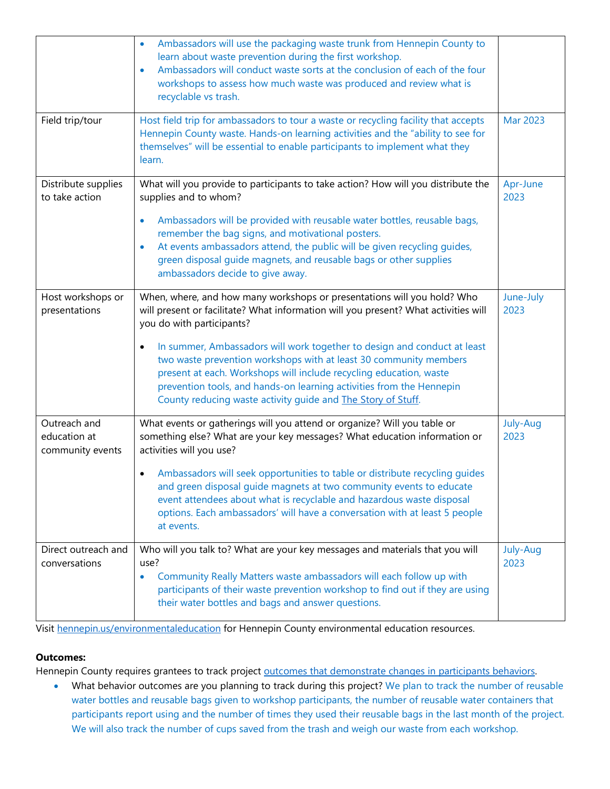|                                                  | Ambassadors will use the packaging waste trunk from Hennepin County to<br>$\bullet$<br>learn about waste prevention during the first workshop.<br>Ambassadors will conduct waste sorts at the conclusion of each of the four<br>$\bullet$<br>workshops to assess how much waste was produced and review what is<br>recyclable vs trash.                                                                                                                                                                                                                         |                   |
|--------------------------------------------------|-----------------------------------------------------------------------------------------------------------------------------------------------------------------------------------------------------------------------------------------------------------------------------------------------------------------------------------------------------------------------------------------------------------------------------------------------------------------------------------------------------------------------------------------------------------------|-------------------|
| Field trip/tour                                  | Host field trip for ambassadors to tour a waste or recycling facility that accepts<br>Hennepin County waste. Hands-on learning activities and the "ability to see for<br>themselves" will be essential to enable participants to implement what they<br>learn.                                                                                                                                                                                                                                                                                                  |                   |
| Distribute supplies<br>to take action            | What will you provide to participants to take action? How will you distribute the<br>supplies and to whom?<br>Ambassadors will be provided with reusable water bottles, reusable bags,<br>$\bullet$<br>remember the bag signs, and motivational posters.<br>At events ambassadors attend, the public will be given recycling guides,<br>$\bullet$<br>green disposal quide magnets, and reusable bags or other supplies<br>ambassadors decide to give away.                                                                                                      | Apr-June<br>2023  |
| Host workshops or<br>presentations               | When, where, and how many workshops or presentations will you hold? Who<br>will present or facilitate? What information will you present? What activities will<br>you do with participants?<br>In summer, Ambassadors will work together to design and conduct at least<br>٠<br>two waste prevention workshops with at least 30 community members<br>present at each. Workshops will include recycling education, waste<br>prevention tools, and hands-on learning activities from the Hennepin<br>County reducing waste activity guide and The Story of Stuff. | June-July<br>2023 |
| Outreach and<br>education at<br>community events | What events or gatherings will you attend or organize? Will you table or<br>something else? What are your key messages? What education information or<br>activities will you use?<br>Ambassadors will seek opportunities to table or distribute recycling guides<br>$\bullet$<br>and green disposal guide magnets at two community events to educate<br>event attendees about what is recyclable and hazardous waste disposal<br>options. Each ambassadors' will have a conversation with at least 5 people<br>at events.                                       | July-Aug<br>2023  |
| Direct outreach and<br>conversations             | Who will you talk to? What are your key messages and materials that you will<br>use?<br>Community Really Matters waste ambassadors will each follow up with<br>$\bullet$<br>participants of their waste prevention workshop to find out if they are using<br>their water bottles and bags and answer questions.                                                                                                                                                                                                                                                 | July-Aug<br>2023  |

Visit [hennepin.us/environmentaleducation](http://www.hennepin.us/environmentaleducation) for Hennepin County environmental education resources.

#### **Outcomes:**

Hennepin County requires grantees to track project outcomes that demonstrate changes in participants behaviors.

• What behavior outcomes are you planning to track during this project? We plan to track the number of reusable water bottles and reusable bags given to workshop participants, the number of reusable water containers that participants report using and the number of times they used their reusable bags in the last month of the project. We will also track the number of cups saved from the trash and weigh our waste from each workshop.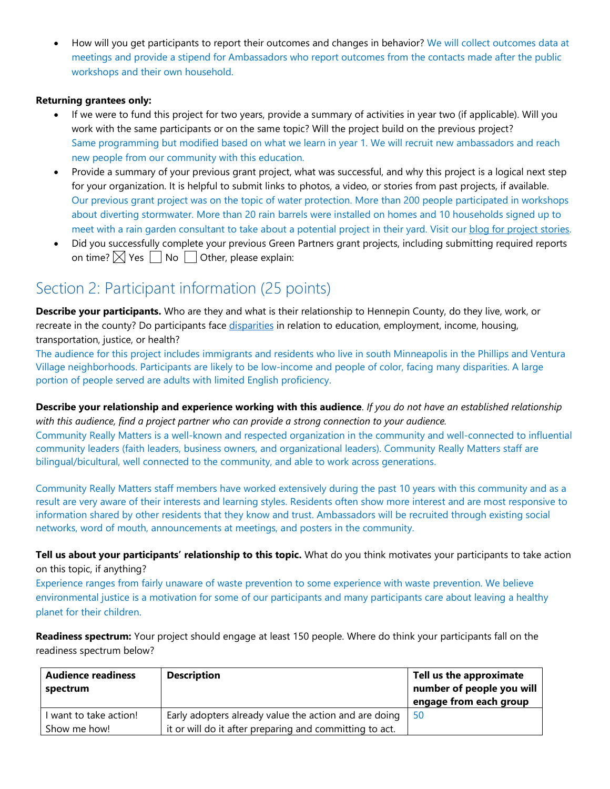• How will you get participants to report their outcomes and changes in behavior? We will collect outcomes data at meetings and provide a stipend for Ambassadors who report outcomes from the contacts made after the public workshops and their own household.

#### **Returning grantees only:**

- If we were to fund this project for two years, provide a summary of activities in year two (if applicable). Will you work with the same participants or on the same topic? Will the project build on the previous project? Same programming but modified based on what we learn in year 1. We will recruit new ambassadors and reach new people from our community with this education.
- Provide a summary of your previous grant project, what was successful, and why this project is a logical next step for your organization. It is helpful to submit links to photos, a video, or stories from past projects, if available. Our previous grant project was on the topic of water protection. More than 200 people participated in workshops about diverting stormwater. More than 20 rain barrels were installed on homes and 10 households signed up to meet with a rain garden consultant to take about a potential project in their yard. Visit our blog for project stories.
- Did you successfully complete your previous Green Partners grant projects, including submitting required reports on time?  $\boxtimes$  Yes  $\Box$  No  $\Box$  Other, please explain:

### Section 2: Participant information (25 points)

**Describe your participants.** Who are they and what is their relationship to Hennepin County, do they live, work, or recreate in the county? Do participants face [disparities](https://www.hennepin.us/your-government/overview/addressing-disparities-in-hennepin-county) in relation to education, employment, income, housing, transportation, justice, or health?

The audience for this project includes immigrants and residents who live in south Minneapolis in the Phillips and Ventura Village neighborhoods. Participants are likely to be low-income and people of color, facing many disparities. A large portion of people served are adults with limited English proficiency.

**Describe your relationship and experience working with this audience**. *If you do not have an established relationship with this audience, find a project partner who can provide a strong connection to your audience.*

Community Really Matters is a well-known and respected organization in the community and well-connected to influential community leaders (faith leaders, business owners, and organizational leaders). Community Really Matters staff are bilingual/bicultural, well connected to the community, and able to work across generations.

Community Really Matters staff members have worked extensively during the past 10 years with this community and as a result are very aware of their interests and learning styles. Residents often show more interest and are most responsive to information shared by other residents that they know and trust. Ambassadors will be recruited through existing social networks, word of mouth, announcements at meetings, and posters in the community.

**Tell us about your participants' relationship to this topic.** What do you think motivates your participants to take action on this topic, if anything?

Experience ranges from fairly unaware of waste prevention to some experience with waste prevention. We believe environmental justice is a motivation for some of our participants and many participants care about leaving a healthy planet for their children.

**Readiness spectrum:** Your project should engage at least 150 people. Where do think your participants fall on the readiness spectrum below?

| <b>Audience readiness</b><br>spectrum | <b>Description</b>                                      | Tell us the approximate<br>number of people you will<br>engage from each group |
|---------------------------------------|---------------------------------------------------------|--------------------------------------------------------------------------------|
| l want to take action!                | Early adopters already value the action and are doing   | 50                                                                             |
| Show me how!                          | it or will do it after preparing and committing to act. |                                                                                |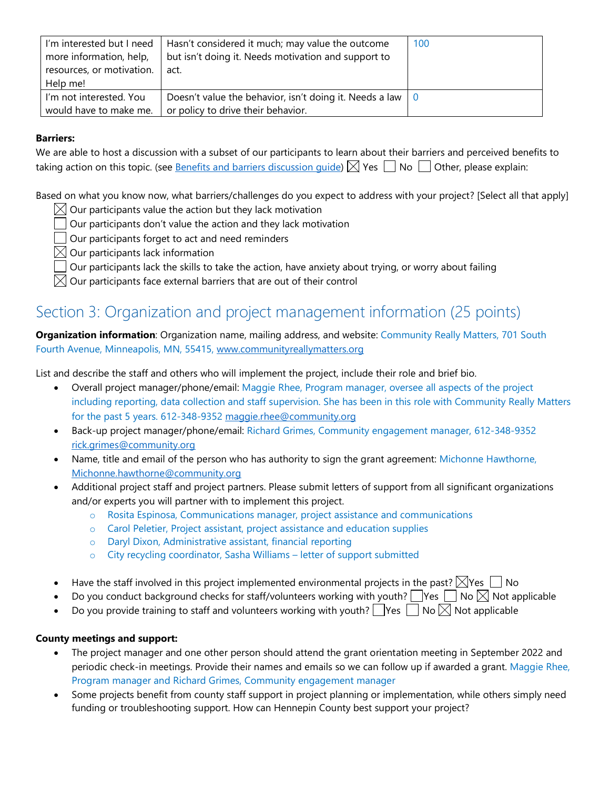| I'm interested but I need<br>more information, help,<br>resources, or motivation. | Hasn't considered it much; may value the outcome<br>but isn't doing it. Needs motivation and support to<br>act. | 100 |
|-----------------------------------------------------------------------------------|-----------------------------------------------------------------------------------------------------------------|-----|
| Help me!                                                                          |                                                                                                                 |     |
| I'm not interested. You                                                           | Doesn't value the behavior, isn't doing it. Needs a law $\begin{pmatrix} 0 \\ 0 \end{pmatrix}$                  |     |
| would have to make me.                                                            | or policy to drive their behavior.                                                                              |     |

#### **Barriers:**

We are able to host a discussion with a subset of our participants to learn about their barriers and perceived benefits to taking action on this topic. (see [Benefits and barriers discussion guide\)](https://www.hennepin.us/-/media/hennepinus/business/work-with-hennepin-county/green-partners/benefits-and-barriers-discussion-guide)  $\boxtimes$  Yes  $\Box$  No  $\Box$  Other, please explain:

Based on what you know now, what barriers/challenges do you expect to address with your project? [Select all that apply]

- $\boxtimes$  Our participants value the action but they lack motivation
	- Our participants don't value the action and they lack motivation
	- Our participants forget to act and need reminders
- $\boxtimes$  Our participants lack information
- Our participants lack the skills to take the action, have anxiety about trying, or worry about failing

 $\boxtimes$  Our participants face external barriers that are out of their control

## Section 3: Organization and project management information (25 points)

**Organization information**: Organization name, mailing address, and website: Community Really Matters, 701 South Fourth Avenue, Minneapolis, MN, 55415, [www.communityreallymatters.org](http://www.communityreallymatters.org/)

List and describe the staff and others who will implement the project, include their role and brief bio.

- Overall project manager/phone/email: Maggie Rhee, Program manager, oversee all aspects of the project including reporting, data collection and staff supervision. She has been in this role with Community Really Matters for the past 5 years. 612-348-9352 [maggie.rhee@community.org](mailto:maggie.rhee@community.org)
- Back-up project manager/phone/email: Richard Grimes, Community engagement manager, 612-348-9352 [rick.grimes@community.org](mailto:rick.grimes@community.org)
- Name, title and email of the person who has authority to sign the grant agreement: Michonne Hawthorne, [Michonne.hawthorne@community.org](mailto:Michonne.hawthorne@community.org)
- Additional project staff and project partners. Please submit letters of support from all significant organizations and/or experts you will partner with to implement this project.
	- o Rosita Espinosa, Communications manager, project assistance and communications
	- o Carol Peletier, Project assistant, project assistance and education supplies
	- o Daryl Dixon, Administrative assistant, financial reporting
	- o City recycling coordinator, Sasha Williams letter of support submitted
- Have the staff involved in this project implemented environmental projects in the past?  $\boxtimes$  Yes  $\Box$  No
- Do you conduct background checks for staff/volunteers working with youth?  $\Box$  Yes  $\Box$  No  $\boxtimes$  Not applicable
- Do you provide training to staff and volunteers working with youth?  $\Box$  Yes  $\Box$  No  $\boxtimes$  Not applicable

#### **County meetings and support:**

- The project manager and one other person should attend the grant orientation meeting in September 2022 and periodic check-in meetings. Provide their names and emails so we can follow up if awarded a grant. Maggie Rhee, Program manager and Richard Grimes, Community engagement manager
- Some projects benefit from county staff support in project planning or implementation, while others simply need funding or troubleshooting support. How can Hennepin County best support your project?